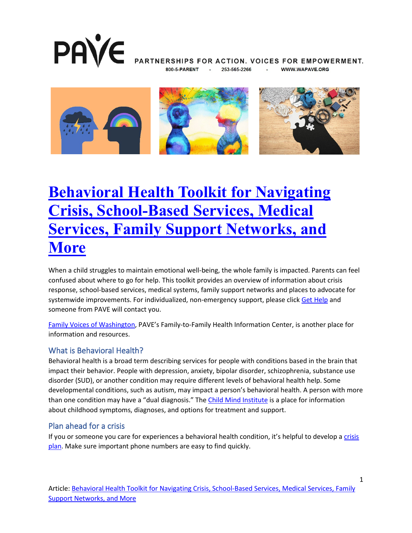

PARTNERSHIPS FOR ACTION. VOICES FOR EMPOWERMENT. 253-565-2266 **WWW.WAPAVE.ORG** 



## **[Behavioral Health Toolkit for Navigating](https://wapave.org/behavioral-health-toolkit-for-navigating-crisis-school-based-services-medical-services-family-support-networks-and-more/)  [Crisis, School-Based Services, Medical](https://wapave.org/behavioral-health-toolkit-for-navigating-crisis-school-based-services-medical-services-family-support-networks-and-more/)  [Services, Family Support Networks, and](https://wapave.org/behavioral-health-toolkit-for-navigating-crisis-school-based-services-medical-services-family-support-networks-and-more/)  [More](https://wapave.org/behavioral-health-toolkit-for-navigating-crisis-school-based-services-medical-services-family-support-networks-and-more/)**

When a child struggles to maintain emotional well-being, the whole family is impacted. Parents can feel confused about where to go for help. This toolkit provides an overview of information about crisis response, school-based services, medical systems, family support networks and places to advocate for systemwide improvements. For individualized, non-emergency support, please click [Get Help](https://wapave.org/get-help/) and someone from PAVE will contact you.

[Family Voices of Washington,](https://www.familyvoicesofwashington.org/) PAVE's Family-to-Family Health Information Center, is another place for information and resources.

### What is Behavioral Health?

Behavioral health is a broad term describing services for people with conditions based in the brain that impact their behavior. People with depression, anxiety, bipolar disorder, schizophrenia, substance use disorder (SUD), or another condition may require different levels of behavioral health help. Some developmental conditions, such as autism, may impact a person's behavioral health. A person with more than one condition may have a "dual diagnosis." The [Child Mind Institute](https://childmind.org/) is a place for information about childhood symptoms, diagnoses, and options for treatment and support.

### Plan ahead for a crisis

If you or someone you care for experiences a behavioral health condition, it's helpful to develop a [crisis](https://www.nami.org/Your-Journey/Family-Members-and-Caregivers/Being-Prepared-for-a-Crisis)  [plan.](https://www.nami.org/Your-Journey/Family-Members-and-Caregivers/Being-Prepared-for-a-Crisis) Make sure important phone numbers are easy to find quickly.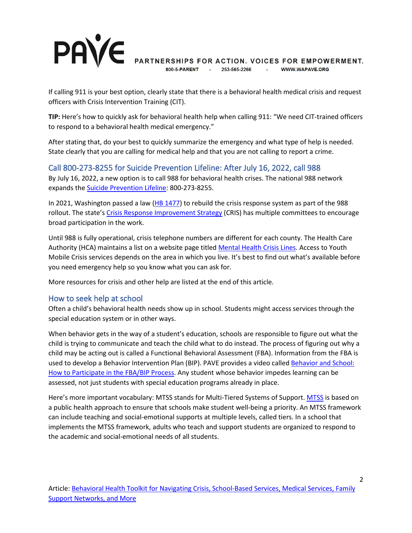### **PAVE** PARTNERSHIPS FOR ACTION. VOICES FOR EMPOWERMENT. 253-565-2266 WWW.WAPAVE.ORG

If calling 911 is your best option, clearly state that there is a behavioral health medical crisis and request officers with Crisis Intervention Training (CIT).

**TIP:** Here's how to quickly ask for behavioral health help when calling 911: "We need CIT-trained officers to respond to a behavioral health medical emergency."

After stating that, do your best to quickly summarize the emergency and what type of help is needed. State clearly that you are calling for medical help and that you are not calling to report a crime.

### Call 800-273-8255 for Suicide Prevention Lifeline: After July 16, 2022, call 988

By July 16, 2022, a new option is to call 988 for behavioral health crises. The national 988 network expands the [Suicide Prevention Lifeline:](https://lnks.gd/l/eyJhbGciOiJIUzI1NiJ9.eyJidWxsZXRpbl9saW5rX2lkIjoxMDYsInVyaSI6ImJwMjpjbGljayIsImJ1bGxldGluX2lkIjoiMjAyMjAzMjIuNTUyODM1ODEiLCJ1cmwiOiJodHRwczovL3N1aWNpZGVwcmV2ZW50aW9ubGlmZWxpbmUub3JnLyJ9.jK43vWUA4IRL3MguzoC8cwzISW9llKP0X2uyFAjilDs/s/836297900/br/128484151031-l) 800-273-8255.

In 2021, Washington passed a law [\(HB 1477\)](https://app.leg.wa.gov/billsummary?BillNumber=1477&Initiative=false&Year=2021) to rebuild the crisis response system as part of the 988 rollout. The state's [Crisis Response Improvement Strategy](https://www.hca.wa.gov/about-hca/behavioral-health-recovery/crisis-response-improvement-strategy-cris-committees) (CRIS) has multiple committees to encourage broad participation in the work.

Until 988 is fully operational, crisis telephone numbers are different for each county. The Health Care Authority (HCA) maintains a list on a website page titled [Mental Health Crisis Lines.](https://www.hca.wa.gov/health-care-services-supports/behavioral-health-recovery/mental-health-crisis-lines) Access to Youth Mobile Crisis services depends on the area in which you live. It's best to find out what's available before you need emergency help so you know what you can ask for.

More resources for crisis and other help are listed at the end of this article.

### How to seek help at school

Often a child's behavioral health needs show up in school. Students might access services through the special education system or in other ways.

When behavior gets in the way of a student's education, schools are responsible to figure out what the child is trying to communicate and teach the child what to do instead. The process of figuring out why a child may be acting out is called a Functional Behavioral Assessment (FBA). Information from the FBA is used to develop a Behavior Intervention Plan (BIP). PAVE provides a video called [Behavior and School:](https://wapave.org/behavior-and-school-how-to-participate-in-the-fba-bip-process/)  [How to Participate in the FBA/BIP Process.](https://wapave.org/behavior-and-school-how-to-participate-in-the-fba-bip-process/) Any student whose behavior impedes learning can be assessed, not just students with special education programs already in place.

Here's more important vocabulary: MTSS stands for Multi-Tiered Systems of Support. [MTSS](https://www.k12.wa.us/student-success/support-programs/multi-tiered-system-supports-mtss) is based on a public health approach to ensure that schools make student well-being a priority. An MTSS framework can include teaching and social-emotional supports at multiple levels, called tiers. In a school that implements the MTSS framework, adults who teach and support students are organized to respond to the academic and social-emotional needs of all students.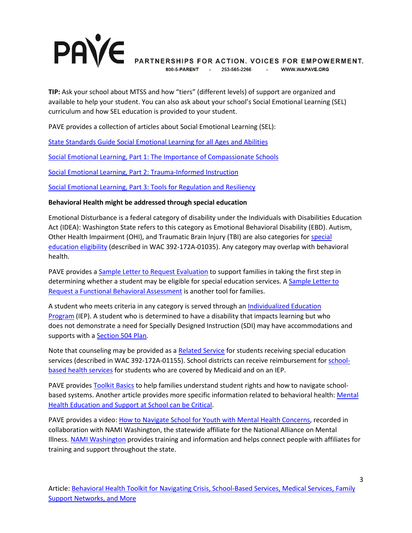#### **PAVE** PARTNERSHIPS FOR ACTION. VOICES FOR EMPOWERMENT. WWW.WAPAVE.ORG 800-5-PARENT 253-565-2266 **Contractor**

**TIP:** Ask your school about MTSS and how "tiers" (different levels) of support are organized and available to help your student. You can also ask about your school's Social Emotional Learning (SEL) curriculum and how SEL education is provided to your student.

PAVE provides a collection of articles about Social Emotional Learning (SEL):

[State Standards Guide Social Emotional Learning for all Ages and Abilities](https://wapave.org/state-standards-guide-social-emotional-learning-for-all-ages-and-abilities/)

[Social Emotional Learning, Part 1: The Importance of Compassionate Schools](https://wapave.org/social-emotional-learning-part-1-importance-compassionate-schools/)

[Social Emotional Learning, Part 2: Trauma-Informed Instruction](https://wapave.org/social-emotional-learning-part-2-trauma-informed-instruction/)

[Social Emotional Learning, Part 3: Tools for Regulation and Resiliency](https://wapave.org/social-emotional-learning-part-3-tools-for-regulation-and-resiliency/)

#### **Behavioral Health might be addressed through special education**

Emotional Disturbance is a federal category of disability under the Individuals with Disabilities Education Act (IDEA): Washington State refers to this category as Emotional Behavioral Disability (EBD). Autism, Other Health Impairment (OHI), and Traumatic Brain Injury (TBI) are also categories for [special](https://apps.leg.wa.gov/wac/default.aspx?cite=392-172a-01035)  [education eligibility](https://apps.leg.wa.gov/wac/default.aspx?cite=392-172a-01035) (described in WAC 392-172A-01035). Any category may overlap with behavioral health.

PAVE provides a [Sample Letter to Request Evaluation](https://wapave.org/sample-letter-to-request-evaluation/) to support families in taking the first step in determining whether a student may be eligible for special education services. A [Sample Letter to](https://wapave.org/sample-letter-to-request-a-functional-behavioral-assessment/)  [Request a Functional Behavioral Assessment](https://wapave.org/sample-letter-to-request-a-functional-behavioral-assessment/) is another tool for families.

A student who meets criteria in any category is served through an Individualized Education [Program](https://wapave.org/steps-to-read-understand-and-develop-an-initial-iep/) (IEP). A student who is determined to have a disability that impacts learning but who does not demonstrate a need for Specially Designed Instruction (SDI) may have accommodations and supports with a [Section 504 Plan.](https://wapave.org/section-504-a-plan-for-equity-access-and-accommodations/)

Note that counseling may be provided as a [Related Service](https://app.leg.wa.gov/wac/default.aspx?cite=392-172a-01155) for students receiving special education services (described in WAC 392-172A-01155). School districts can receive reimbursement for [school](https://www.hca.wa.gov/billers-providers-partners/programs-and-services/school-based-health-care-services-sbhs)[based health services](https://www.hca.wa.gov/billers-providers-partners/programs-and-services/school-based-health-care-services-sbhs) for students who are covered by Medicaid and on an IEP.

PAVE provides [Toolkit Basics](https://wapave.org/toolkit-basics-where-to-begin-when-a-student-needs-more-help/) to help families understand student rights and how to navigate school-based systems. Another article provides more specific information related to behavioral health: [Mental](https://wapave.org/mental-health-education-and-support-at-school-can-be-critical/) [Health Education and Support at School can be Critical.](https://wapave.org/mental-health-education-and-support-at-school-can-be-critical/)

PAVE provides a video: [How to Navigate School for Youth with Mental Health Concerns,](https://wapave.org/how-to-navigate-school-for-youth-with-mental-health-concerns/) recorded in collaboration with NAMI Washington, the statewide affiliate for the National Alliance on Mental Illness. [NAMI Washington](https://www.namiwa.org/) provides training and information and helps connect people with affiliates for training and support throughout the state.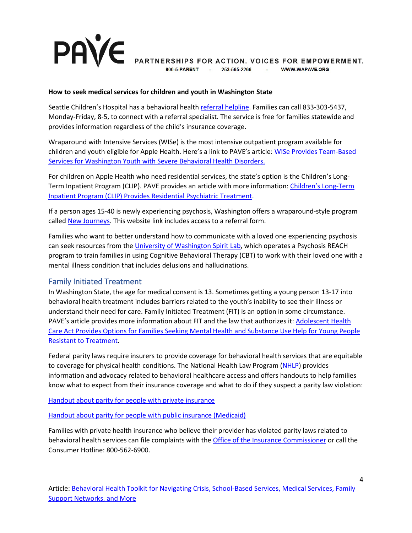# **PAVE**

PARTNERSHIPS FOR ACTION. VOICES FOR EMPOWERMENT.

253-565-2266 **Service** WWW.WAPAVE.ORG

#### **How to seek medical services for children and youth in Washington State**

Seattle Children's Hospital has a behavioral health [referral helpline.](https://www.seattlechildrens.org/healthcare-professionals/access-services/partnership-access-line/washingtons-mental-health-referral-service-children-teens/) Families can call 833-303-5437, Monday-Friday, 8-5, to connect with a referral specialist. The service is free for families statewide and provides information regardless of the child's insurance coverage.

Wraparound with Intensive Services (WISe) is the most intensive outpatient program available for children and youth eligible for Apple Health. Here's a link to PAVE's article: [WISe Provides Team-Based](https://wapave.org/wise-provides-team-based-services-for-washington-youth-with-severe-behavioral-health-disorders/)  [Services for Washington Youth with Severe Behavioral Health Disorders.](https://wapave.org/wise-provides-team-based-services-for-washington-youth-with-severe-behavioral-health-disorders/)

For children on Apple Health who need residential services, the state's option is the Children's Long-Term Inpatient Program (CLIP). PAVE provides an article with more information: [Children's Long-Term](https://wapave.org/childrens-long-term-inpatient-program-clip-provides-residential-psychiatric-treatment/)  [Inpatient Program \(CLIP\) Provides Residential Psychiatric Treatment.](https://wapave.org/childrens-long-term-inpatient-program-clip-provides-residential-psychiatric-treatment/)

If a person ages 15-40 is newly experiencing psychosis, Washington offers a wraparound-style program called [New Journeys.](https://www.newjourneyswashington.org/) This website link includes access to a referral form.

Families who want to better understand how to communicate with a loved one experiencing psychosis can seek resources from the [University of Washington Spirit Lab,](https://uwspiritlab.org/) which operates a Psychosis REACH program to train families in using Cognitive Behavioral Therapy (CBT) to work with their loved one with a mental illness condition that includes delusions and hallucinations.

### Family Initiated Treatment

In Washington State, the age for medical consent is 13. Sometimes getting a young person 13-17 into behavioral health treatment includes barriers related to the youth's inability to see their illness or understand their need for care. Family Initiated Treatment (FIT) is an option in some circumstance. PAVE's article provides more information about FIT and the law that authorizes it: [Adolescent Health](https://wapave.org/adolescent-health-care-act-provides-options-for-families-seeking-mental-health-and-substance-use-help-for-young-people-resistant-to-treatment-2/)  [Care Act Provides Options for Families Seeking Mental Health and Substance Use Help for Young People](https://wapave.org/adolescent-health-care-act-provides-options-for-families-seeking-mental-health-and-substance-use-help-for-young-people-resistant-to-treatment-2/)  [Resistant to Treatment.](https://wapave.org/adolescent-health-care-act-provides-options-for-families-seeking-mental-health-and-substance-use-help-for-young-people-resistant-to-treatment-2/)

Federal parity laws require insurers to provide coverage for behavioral health services that are equitable to coverage for physical health conditions. The National Health Law Program [\(NHLP\)](https://healthlaw.org/about/) provides information and advocacy related to behavioral healthcare access and offers handouts to help families know what to expect from their insurance coverage and what to do if they suspect a parity law violation:

Handout about parity for people with private insurance

Handout about parity for people with public insurance (Medicaid)

Families with private health insurance who believe their provider has violated parity laws related to behavioral health services can file complaints with the [Office of the Insurance Commissioner](https://www.insurance.wa.gov/) or call the Consumer Hotline: 800-562-6900.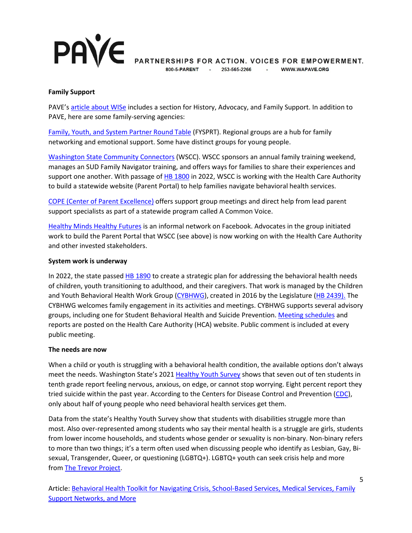# **PAVE**

PARTNERSHIPS FOR ACTION. VOICES FOR EMPOWERMENT.

800-5-PARENT 253-565-2266 - WWW.WAPAVE.ORG

#### **Family Support**

PAVE's [article about WISe](https://wapave.org/wise-provides-team-based-services-for-washington-youth-with-severe-behavioral-health-disorders/) includes a section for History, Advocacy, and Family Support. In addition to PAVE, here are some family-serving agencies:

[Family, Youth, and System Partner Round Table](https://wapave.org/families-and-youth-have-a-voice-on-mental-health-matters-through-fysprt/) (FYSPRT). Regional groups are a hub for family networking and emotional support. Some have distinct groups for young people.

[Washington State Community Connectors](https://wsccsupport.org/) (WSCC). WSCC sponsors an annual family training weekend, manages an SUD Family Navigator training, and offers ways for families to share their experiences and support one another. With passage of [HB 1800](https://app.leg.wa.gov/billsummary?BillNumber=1800&Year=2021&Initiative=false) in 2022, WSCC is working with the Health Care Authority to build a statewide website (Parent Portal) to help families navigate behavioral health services.

[COPE \(Center of Parent Excellence\)](https://www.hca.wa.gov/about-hca/behavioral-health-recovery/center-parent-excellence-cope-project) offers support group meetings and direct help from lead parent support specialists as part of a statewide program called A Common Voice.

[Healthy Minds Healthy Futures](https://www.facebook.com/groups/353084468424745) is an informal network on Facebook. Advocates in the group initiated work to build the Parent Portal that WSCC (see above) is now working on with the Health Care Authority and other invested stakeholders.

#### **System work is underway**

In 2022, the state passed [HB 1890](https://app.leg.wa.gov/billsummary?BillNumber=1890&Year=2022) to create a strategic plan for addressing the behavioral health needs of children, youth transitioning to adulthood, and their caregivers. That work is managed by the Children and Youth Behavioral Health Work Group [\(CYBHWG\)](https://www.hca.wa.gov/about-hca/behavioral-health-recovery/children-and-youth-behavioral-health-work-group-cybhwg), created in 2016 by the Legislature [\(HB 2439\).](https://app.leg.wa.gov/billsummary?BillNumber=2439&Year=2015) The CYBHWG welcomes family engagement in its activities and meetings. CYBHWG supports several advisory groups, including one for Student Behavioral Health and Suicide Prevention. [Meeting schedules](https://www.hca.wa.gov/about-hca/behavioral-health-recovery/meetings) and reports are posted on the Health Care Authority (HCA) website. Public comment is included at every public meeting.

#### **The needs are now**

When a child or youth is struggling with a behavioral health condition, the available options don't always meet the needs. Washington State's 2021 [Healthy Youth Survey](https://www.k12.wa.us/student-success/health-safety/healthy-youth-survey) shows that seven out of ten students in tenth grade report feeling nervous, anxious, on edge, or cannot stop worrying. Eight percent report they tried suicide within the past year. According to the Centers for Disease Control and Prevention [\(CDC\)](https://www.cdc.gov/childrensmentalhealth/data.html#:%7E:text=Among%20children%20aged%203%2D17%20years%2C%20in%202016%3A,%25)%20with%20depression%20received%20treatment.&text=6%20in%2010%20children%20(59.3%25)%20with%20anxiety%20received%20treatment.&text=More%20than%205%20in%2010,with%20behavior%20disorders%20received%20treatment.), only about half of young people who need behavioral health services get them.

Data from the state's Healthy Youth Survey show that students with disabilities struggle more than most. Also over-represented among students who say their mental health is a struggle are girls, students from lower income households, and students whose gender or sexuality is non-binary. Non-binary refers to more than two things; it's a term often used when discussing people who identify as Lesbian, Gay, Bisexual, Transgender, Queer, or questioning (LGBTQ+). LGBTQ+ youth can seek crisis help and more from [The Trevor Project.](https://lnks.gd/l/eyJhbGciOiJIUzI1NiJ9.eyJidWxsZXRpbl9saW5rX2lkIjoxMDQsInVyaSI6ImJwMjpjbGljayIsImJ1bGxldGluX2lkIjoiMjAyMjAzMjIuNTUyODM1ODEiLCJ1cmwiOiJodHRwczovL3d3dy50aGV0cmV2b3Jwcm9qZWN0Lm9yZy8ifQ.pU29Gr0peeNEjSiqD1cZC8EoSWRCHjHHIbfhqwwmjn4/s/836297900/br/128484151031-l)